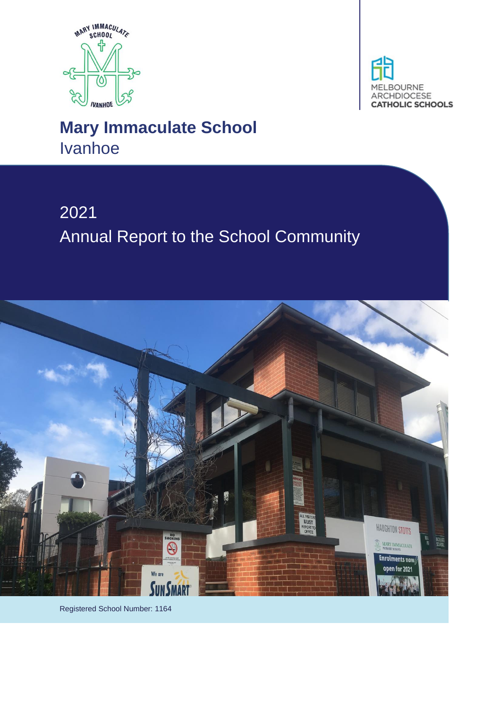



# **Mary Immaculate School** Ivanhoe

# 2021 Annual Report to the School Community



Registered School Number: 1164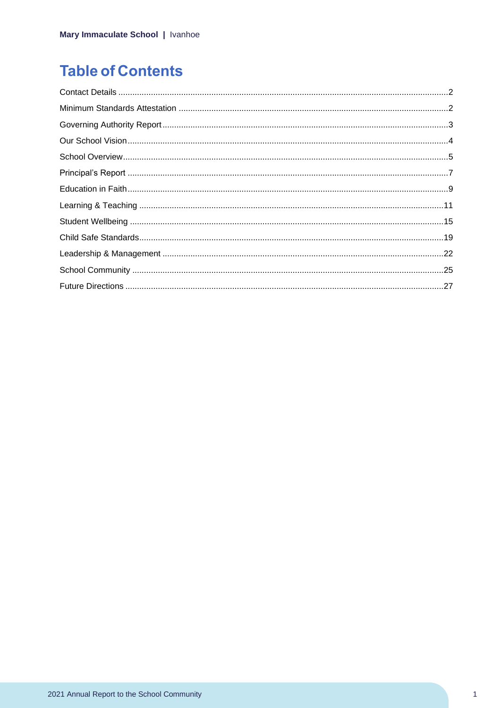# **Table of Contents**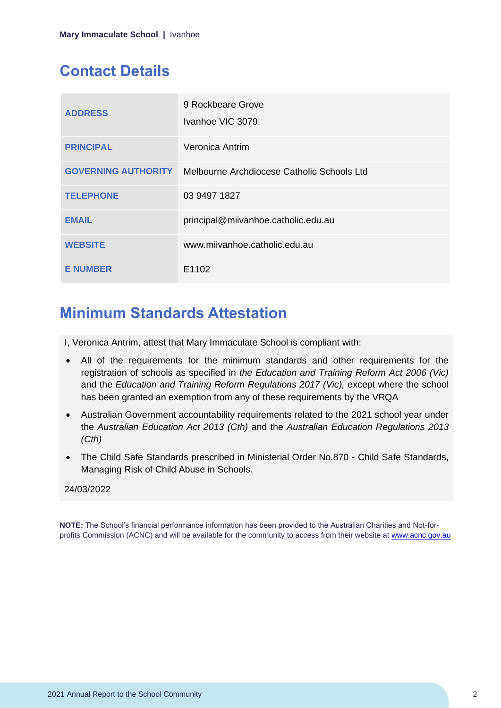# <span id="page-2-0"></span>**Contact Details**

| <b>ADDRESS</b>             | 9 Rockbeare Grove<br>Ivanhoe VIC 3079      |
|----------------------------|--------------------------------------------|
| <b>PRINCIPAL</b>           | Veronica Antrim                            |
| <b>GOVERNING AUTHORITY</b> | Melbourne Archdiocese Catholic Schools Ltd |
| <b>TELEPHONE</b>           | 03 9497 1827                               |
| <b>EMAIL</b>               | principal@miivanhoe.catholic.edu.au        |
| <b>WEBSITE</b>             | www.miivanhoe.catholic.edu.au              |
| <b>E NUMBER</b>            | E1102                                      |

# <span id="page-2-1"></span>**Minimum Standards Attestation**

I, Veronica Antrim, attest that Mary Immaculate School is compliant with:

- All of the requirements for the minimum standards and other requirements for the registration of schools as specified in *the Education and Training Reform Act 2006 (Vic)* and the *Education and Training Reform Regulations 2017 (Vic),* except where the school has been granted an exemption from any of these requirements by the VRQA
- Australian Government accountability requirements related to the 2021 school year under the *Australian Education Act 2013 (Cth)* and the *Australian Education Regulations 2013 (Cth)*
- The Child Safe Standards prescribed in Ministerial Order No.870 Child Safe Standards, Managing Risk of Child Abuse in Schools.

#### 24/03/2022

**NOTE:** The School's financial performance information has been provided to the Australian Charities and Not-forprofits Commission (ACNC) and will be available for the community to access from their website at [www.acnc.gov.au](http://www.acnc.gov.au/)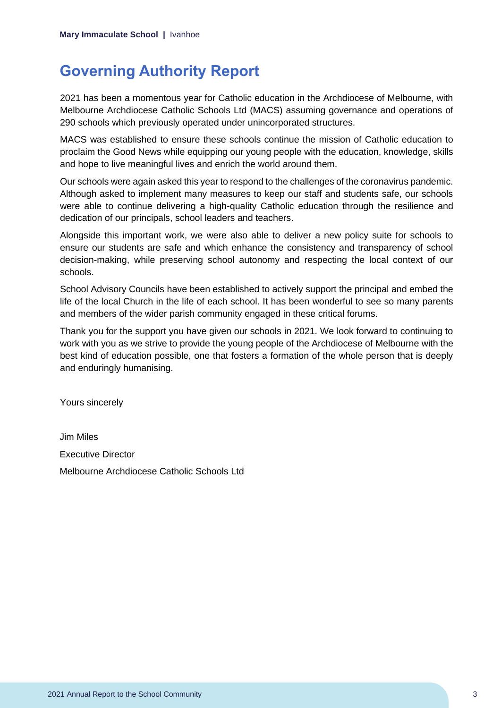# <span id="page-3-0"></span>**Governing Authority Report**

2021 has been a momentous year for Catholic education in the Archdiocese of Melbourne, with Melbourne Archdiocese Catholic Schools Ltd (MACS) assuming governance and operations of 290 schools which previously operated under unincorporated structures.

MACS was established to ensure these schools continue the mission of Catholic education to proclaim the Good News while equipping our young people with the education, knowledge, skills and hope to live meaningful lives and enrich the world around them.

Our schools were again asked this year to respond to the challenges of the coronavirus pandemic. Although asked to implement many measures to keep our staff and students safe, our schools were able to continue delivering a high-quality Catholic education through the resilience and dedication of our principals, school leaders and teachers.

Alongside this important work, we were also able to deliver a new policy suite for schools to ensure our students are safe and which enhance the consistency and transparency of school decision-making, while preserving school autonomy and respecting the local context of our schools.

School Advisory Councils have been established to actively support the principal and embed the life of the local Church in the life of each school. It has been wonderful to see so many parents and members of the wider parish community engaged in these critical forums.

Thank you for the support you have given our schools in 2021. We look forward to continuing to work with you as we strive to provide the young people of the Archdiocese of Melbourne with the best kind of education possible, one that fosters a formation of the whole person that is deeply and enduringly humanising.

Yours sincerely

Jim Miles Executive Director Melbourne Archdiocese Catholic Schools Ltd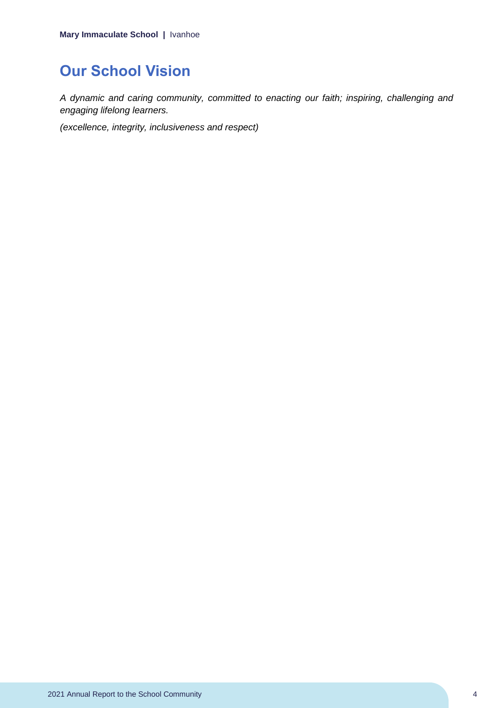# <span id="page-4-0"></span>**Our School Vision**

*A dynamic and caring community, committed to enacting our faith; inspiring, challenging and engaging lifelong learners.*

*(excellence, integrity, inclusiveness and respect)*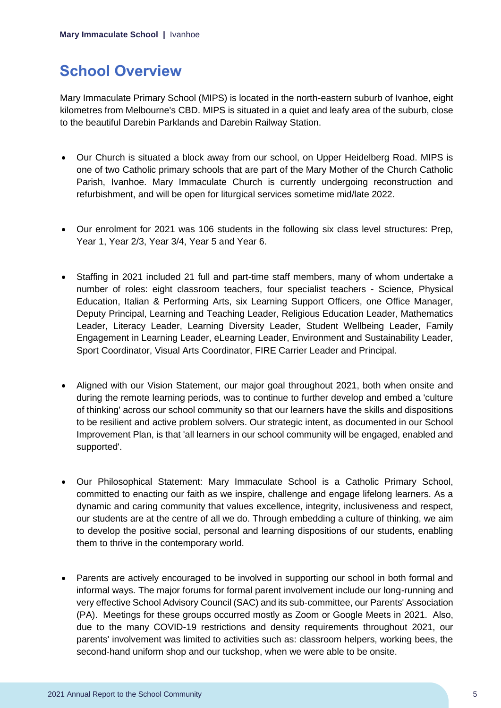# <span id="page-5-0"></span>**School Overview**

Mary Immaculate Primary School (MIPS) is located in the north-eastern suburb of Ivanhoe, eight kilometres from Melbourne's CBD. MIPS is situated in a quiet and leafy area of the suburb, close to the beautiful Darebin Parklands and Darebin Railway Station.

- Our Church is situated a block away from our school, on Upper Heidelberg Road. MIPS is one of two Catholic primary schools that are part of the Mary Mother of the Church Catholic Parish, Ivanhoe. Mary Immaculate Church is currently undergoing reconstruction and refurbishment, and will be open for liturgical services sometime mid/late 2022.
- Our enrolment for 2021 was 106 students in the following six class level structures: Prep, Year 1, Year 2/3, Year 3/4, Year 5 and Year 6.
- Staffing in 2021 included 21 full and part-time staff members, many of whom undertake a number of roles: eight classroom teachers, four specialist teachers - Science, Physical Education, Italian & Performing Arts, six Learning Support Officers, one Office Manager, Deputy Principal, Learning and Teaching Leader, Religious Education Leader, Mathematics Leader, Literacy Leader, Learning Diversity Leader, Student Wellbeing Leader, Family Engagement in Learning Leader, eLearning Leader, Environment and Sustainability Leader, Sport Coordinator, Visual Arts Coordinator, FIRE Carrier Leader and Principal.
- Aligned with our Vision Statement, our major goal throughout 2021, both when onsite and during the remote learning periods, was to continue to further develop and embed a 'culture of thinking' across our school community so that our learners have the skills and dispositions to be resilient and active problem solvers. Our strategic intent, as documented in our School Improvement Plan, is that 'all learners in our school community will be engaged, enabled and supported'.
- Our Philosophical Statement: Mary Immaculate School is a Catholic Primary School, committed to enacting our faith as we inspire, challenge and engage lifelong learners. As a dynamic and caring community that values excellence, integrity, inclusiveness and respect, our students are at the centre of all we do. Through embedding a culture of thinking, we aim to develop the positive social, personal and learning dispositions of our students, enabling them to thrive in the contemporary world.
- Parents are actively encouraged to be involved in supporting our school in both formal and informal ways. The major forums for formal parent involvement include our long-running and very effective School Advisory Council (SAC) and its sub-committee, our Parents' Association (PA). Meetings for these groups occurred mostly as Zoom or Google Meets in 2021. Also, due to the many COVID-19 restrictions and density requirements throughout 2021, our parents' involvement was limited to activities such as: classroom helpers, working bees, the second-hand uniform shop and our tuckshop, when we were able to be onsite.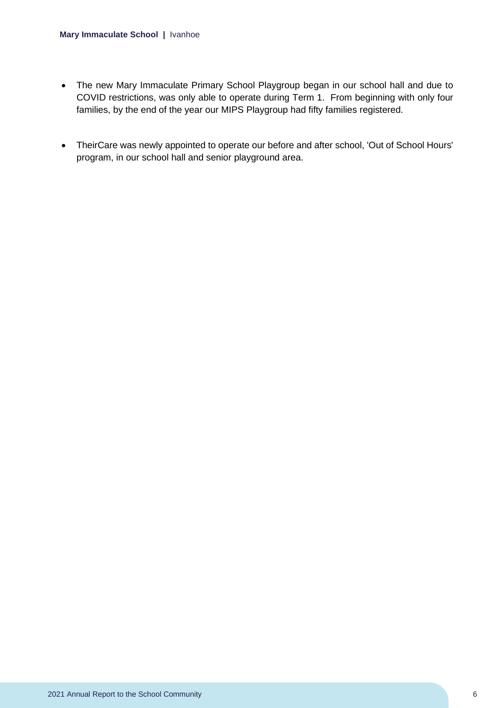- The new Mary Immaculate Primary School Playgroup began in our school hall and due to COVID restrictions, was only able to operate during Term 1. From beginning with only four families, by the end of the year our MIPS Playgroup had fifty families registered.
- TheirCare was newly appointed to operate our before and after school, 'Out of School Hours' program, in our school hall and senior playground area.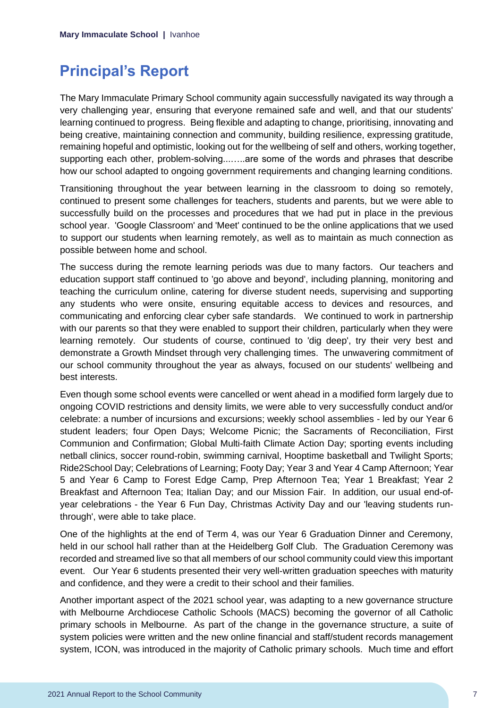# <span id="page-7-0"></span>**Principal's Report**

The Mary Immaculate Primary School community again successfully navigated its way through a very challenging year, ensuring that everyone remained safe and well, and that our students' learning continued to progress. Being flexible and adapting to change, prioritising, innovating and being creative, maintaining connection and community, building resilience, expressing gratitude, remaining hopeful and optimistic, looking out for the wellbeing of self and others, working together, supporting each other, problem-solving...…..are some of the words and phrases that describe how our school adapted to ongoing government requirements and changing learning conditions.

Transitioning throughout the year between learning in the classroom to doing so remotely, continued to present some challenges for teachers, students and parents, but we were able to successfully build on the processes and procedures that we had put in place in the previous school year. 'Google Classroom' and 'Meet' continued to be the online applications that we used to support our students when learning remotely, as well as to maintain as much connection as possible between home and school.

The success during the remote learning periods was due to many factors. Our teachers and education support staff continued to 'go above and beyond', including planning, monitoring and teaching the curriculum online, catering for diverse student needs, supervising and supporting any students who were onsite, ensuring equitable access to devices and resources, and communicating and enforcing clear cyber safe standards. We continued to work in partnership with our parents so that they were enabled to support their children, particularly when they were learning remotely. Our students of course, continued to 'dig deep', try their very best and demonstrate a Growth Mindset through very challenging times. The unwavering commitment of our school community throughout the year as always, focused on our students' wellbeing and best interests.

Even though some school events were cancelled or went ahead in a modified form largely due to ongoing COVID restrictions and density limits, we were able to very successfully conduct and/or celebrate: a number of incursions and excursions; weekly school assemblies - led by our Year 6 student leaders; four Open Days; Welcome Picnic; the Sacraments of Reconciliation, First Communion and Confirmation; Global Multi-faith Climate Action Day; sporting events including netball clinics, soccer round-robin, swimming carnival, Hooptime basketball and Twilight Sports; Ride2School Day; Celebrations of Learning; Footy Day; Year 3 and Year 4 Camp Afternoon; Year 5 and Year 6 Camp to Forest Edge Camp, Prep Afternoon Tea; Year 1 Breakfast; Year 2 Breakfast and Afternoon Tea; Italian Day; and our Mission Fair. In addition, our usual end-ofyear celebrations - the Year 6 Fun Day, Christmas Activity Day and our 'leaving students runthrough', were able to take place.

One of the highlights at the end of Term 4, was our Year 6 Graduation Dinner and Ceremony, held in our school hall rather than at the Heidelberg Golf Club. The Graduation Ceremony was recorded and streamed live so that all members of our school community could view this important event. Our Year 6 students presented their very well-written graduation speeches with maturity and confidence, and they were a credit to their school and their families.

Another important aspect of the 2021 school year, was adapting to a new governance structure with Melbourne Archdiocese Catholic Schools (MACS) becoming the governor of all Catholic primary schools in Melbourne. As part of the change in the governance structure, a suite of system policies were written and the new online financial and staff/student records management system, ICON, was introduced in the majority of Catholic primary schools. Much time and effort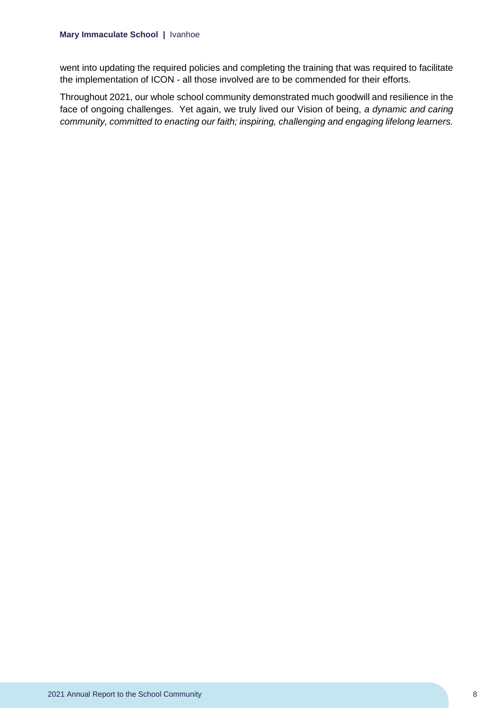went into updating the required policies and completing the training that was required to facilitate the implementation of ICON - all those involved are to be commended for their efforts.

Throughout 2021, our whole school community demonstrated much goodwill and resilience in the face of ongoing challenges. Yet again, we truly lived our Vision of being, *a dynamic and caring community, committed to enacting our faith; inspiring, challenging and engaging lifelong learners.*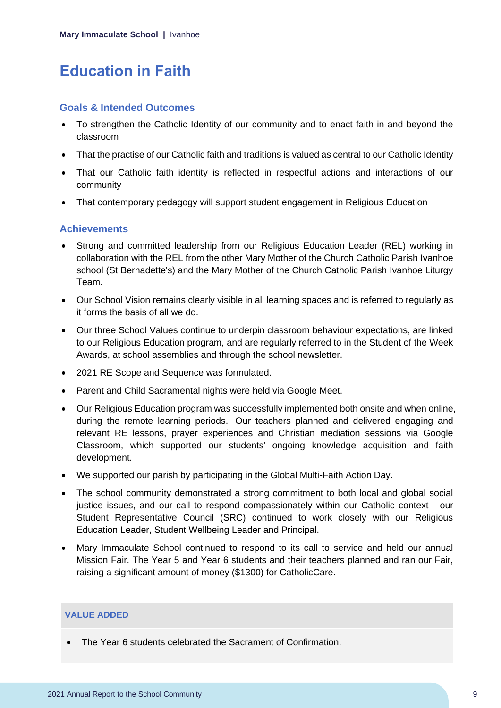# <span id="page-9-0"></span>**Education in Faith**

### **Goals & Intended Outcomes**

- To strengthen the Catholic Identity of our community and to enact faith in and beyond the classroom
- That the practise of our Catholic faith and traditions is valued as central to our Catholic Identity
- That our Catholic faith identity is reflected in respectful actions and interactions of our community
- That contemporary pedagogy will support student engagement in Religious Education

### **Achievements**

- Strong and committed leadership from our Religious Education Leader (REL) working in collaboration with the REL from the other Mary Mother of the Church Catholic Parish Ivanhoe school (St Bernadette's) and the Mary Mother of the Church Catholic Parish Ivanhoe Liturgy Team.
- Our School Vision remains clearly visible in all learning spaces and is referred to regularly as it forms the basis of all we do.
- Our three School Values continue to underpin classroom behaviour expectations, are linked to our Religious Education program, and are regularly referred to in the Student of the Week Awards, at school assemblies and through the school newsletter.
- 2021 RE Scope and Sequence was formulated.
- Parent and Child Sacramental nights were held via Google Meet.
- Our Religious Education program was successfully implemented both onsite and when online, during the remote learning periods. Our teachers planned and delivered engaging and relevant RE lessons, prayer experiences and Christian mediation sessions via Google Classroom, which supported our students' ongoing knowledge acquisition and faith development.
- We supported our parish by participating in the Global Multi-Faith Action Day.
- The school community demonstrated a strong commitment to both local and global social justice issues, and our call to respond compassionately within our Catholic context - our Student Representative Council (SRC) continued to work closely with our Religious Education Leader, Student Wellbeing Leader and Principal.
- Mary Immaculate School continued to respond to its call to service and held our annual Mission Fair. The Year 5 and Year 6 students and their teachers planned and ran our Fair, raising a significant amount of money (\$1300) for CatholicCare.

#### **VALUE ADDED**

• The Year 6 students celebrated the Sacrament of Confirmation.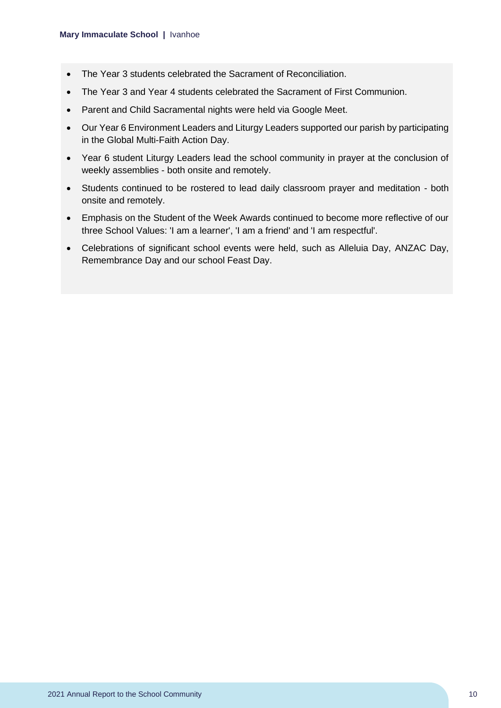- The Year 3 students celebrated the Sacrament of Reconciliation.
- The Year 3 and Year 4 students celebrated the Sacrament of First Communion.
- Parent and Child Sacramental nights were held via Google Meet.
- Our Year 6 Environment Leaders and Liturgy Leaders supported our parish by participating in the Global Multi-Faith Action Day.
- Year 6 student Liturgy Leaders lead the school community in prayer at the conclusion of weekly assemblies - both onsite and remotely.
- Students continued to be rostered to lead daily classroom prayer and meditation both onsite and remotely.
- Emphasis on the Student of the Week Awards continued to become more reflective of our three School Values: 'I am a learner', 'I am a friend' and 'I am respectful'.
- Celebrations of significant school events were held, such as Alleluia Day, ANZAC Day, Remembrance Day and our school Feast Day.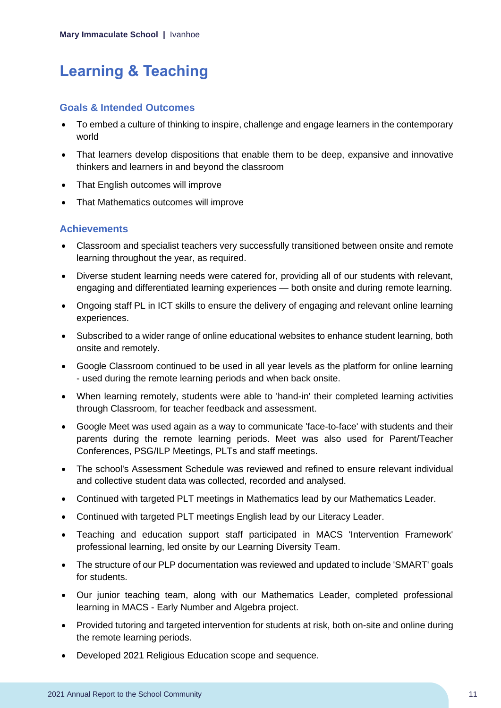# <span id="page-11-0"></span>**Learning & Teaching**

### **Goals & Intended Outcomes**

- To embed a culture of thinking to inspire, challenge and engage learners in the contemporary world
- That learners develop dispositions that enable them to be deep, expansive and innovative thinkers and learners in and beyond the classroom
- That English outcomes will improve
- That Mathematics outcomes will improve

## **Achievements**

- Classroom and specialist teachers very successfully transitioned between onsite and remote learning throughout the year, as required.
- Diverse student learning needs were catered for, providing all of our students with relevant, engaging and differentiated learning experiences — both onsite and during remote learning.
- Ongoing staff PL in ICT skills to ensure the delivery of engaging and relevant online learning experiences.
- Subscribed to a wider range of online educational websites to enhance student learning, both onsite and remotely.
- Google Classroom continued to be used in all year levels as the platform for online learning - used during the remote learning periods and when back onsite.
- When learning remotely, students were able to 'hand-in' their completed learning activities through Classroom, for teacher feedback and assessment.
- Google Meet was used again as a way to communicate 'face-to-face' with students and their parents during the remote learning periods. Meet was also used for Parent/Teacher Conferences, PSG/ILP Meetings, PLTs and staff meetings.
- The school's Assessment Schedule was reviewed and refined to ensure relevant individual and collective student data was collected, recorded and analysed.
- Continued with targeted PLT meetings in Mathematics lead by our Mathematics Leader.
- Continued with targeted PLT meetings English lead by our Literacy Leader.
- Teaching and education support staff participated in MACS 'Intervention Framework' professional learning, led onsite by our Learning Diversity Team.
- The structure of our PLP documentation was reviewed and updated to include 'SMART' goals for students.
- Our junior teaching team, along with our Mathematics Leader, completed professional learning in MACS - Early Number and Algebra project.
- Provided tutoring and targeted intervention for students at risk, both on-site and online during the remote learning periods.
- Developed 2021 Religious Education scope and sequence.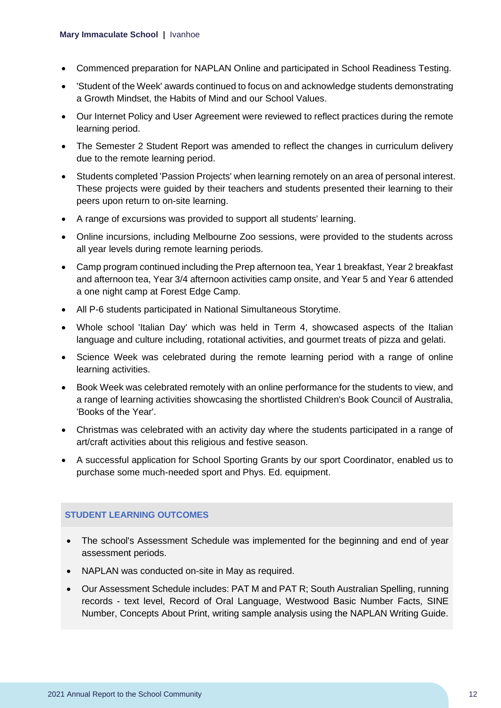- Commenced preparation for NAPLAN Online and participated in School Readiness Testing.
- 'Student of the Week' awards continued to focus on and acknowledge students demonstrating a Growth Mindset, the Habits of Mind and our School Values.
- Our Internet Policy and User Agreement were reviewed to reflect practices during the remote learning period.
- The Semester 2 Student Report was amended to reflect the changes in curriculum delivery due to the remote learning period.
- Students completed 'Passion Projects' when learning remotely on an area of personal interest. These projects were guided by their teachers and students presented their learning to their peers upon return to on-site learning.
- A range of excursions was provided to support all students' learning.
- Online incursions, including Melbourne Zoo sessions, were provided to the students across all year levels during remote learning periods.
- Camp program continued including the Prep afternoon tea, Year 1 breakfast, Year 2 breakfast and afternoon tea, Year 3/4 afternoon activities camp onsite, and Year 5 and Year 6 attended a one night camp at Forest Edge Camp.
- All P-6 students participated in National Simultaneous Storytime.
- Whole school 'Italian Day' which was held in Term 4, showcased aspects of the Italian language and culture including, rotational activities, and gourmet treats of pizza and gelati.
- Science Week was celebrated during the remote learning period with a range of online learning activities.
- Book Week was celebrated remotely with an online performance for the students to view, and a range of learning activities showcasing the shortlisted Children's Book Council of Australia, 'Books of the Year'.
- Christmas was celebrated with an activity day where the students participated in a range of art/craft activities about this religious and festive season.
- A successful application for School Sporting Grants by our sport Coordinator, enabled us to purchase some much-needed sport and Phys. Ed. equipment.

#### **STUDENT LEARNING OUTCOMES**

- The school's Assessment Schedule was implemented for the beginning and end of year assessment periods.
- NAPLAN was conducted on-site in May as required.
- Our Assessment Schedule includes: PAT M and PAT R; South Australian Spelling, running records - text level, Record of Oral Language, Westwood Basic Number Facts, SINE Number, Concepts About Print, writing sample analysis using the NAPLAN Writing Guide.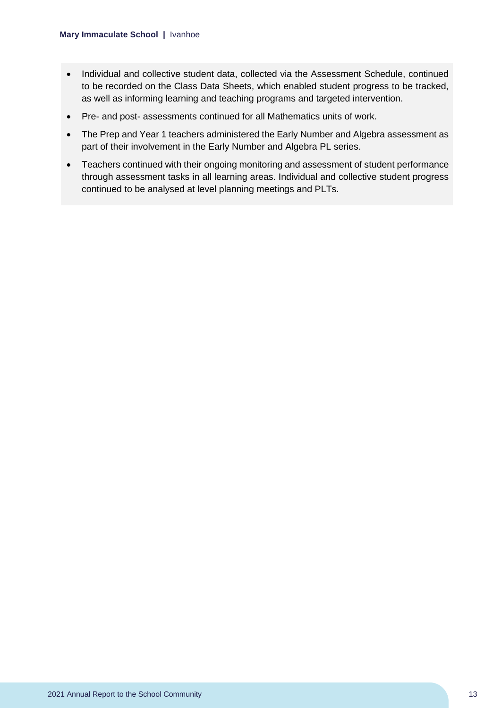- Individual and collective student data, collected via the Assessment Schedule, continued to be recorded on the Class Data Sheets, which enabled student progress to be tracked, as well as informing learning and teaching programs and targeted intervention.
- Pre- and post- assessments continued for all Mathematics units of work.
- The Prep and Year 1 teachers administered the Early Number and Algebra assessment as part of their involvement in the Early Number and Algebra PL series.
- Teachers continued with their ongoing monitoring and assessment of student performance through assessment tasks in all learning areas. Individual and collective student progress continued to be analysed at level planning meetings and PLTs.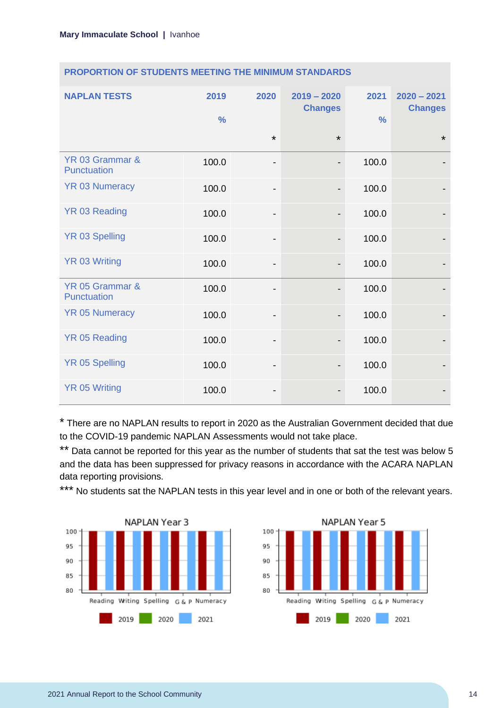| <b>NAPLAN TESTS</b>            | 2019<br>$\frac{0}{0}$ | 2020                         | $2019 - 2020$<br><b>Changes</b> | 2021<br>$\frac{0}{0}$ | $2020 - 2021$<br><b>Changes</b> |
|--------------------------------|-----------------------|------------------------------|---------------------------------|-----------------------|---------------------------------|
|                                |                       | $\star$                      | $\star$                         |                       | $\star$                         |
| YR 03 Grammar &<br>Punctuation | 100.0                 | $\qquad \qquad \blacksquare$ | $\overline{\phantom{a}}$        | 100.0                 |                                 |
| <b>YR 03 Numeracy</b>          | 100.0                 | $\qquad \qquad \blacksquare$ | $\overline{\phantom{a}}$        | 100.0                 |                                 |
| <b>YR 03 Reading</b>           | 100.0                 | $\overline{\phantom{a}}$     |                                 | 100.0                 |                                 |
| <b>YR 03 Spelling</b>          | 100.0                 | $\overline{\phantom{a}}$     | $\overline{\phantom{a}}$        | 100.0                 |                                 |
| <b>YR 03 Writing</b>           | 100.0                 | -                            |                                 | 100.0                 |                                 |
| YR 05 Grammar &<br>Punctuation | 100.0                 | -                            |                                 | 100.0                 |                                 |
| <b>YR 05 Numeracy</b>          | 100.0                 | $\overline{\phantom{0}}$     |                                 | 100.0                 |                                 |
| <b>YR 05 Reading</b>           | 100.0                 | $\overline{\phantom{a}}$     |                                 | 100.0                 |                                 |
| <b>YR 05 Spelling</b>          | 100.0                 | $\qquad \qquad \blacksquare$ |                                 | 100.0                 |                                 |
| <b>YR 05 Writing</b>           | 100.0                 | -                            |                                 | 100.0                 |                                 |

#### **PROPORTION OF STUDENTS MEETING THE MINIMUM STANDARDS**

\* There are no NAPLAN results to report in 2020 as the Australian Government decided that due to the COVID-19 pandemic NAPLAN Assessments would not take place.

\*\* Data cannot be reported for this year as the number of students that sat the test was below 5 and the data has been suppressed for privacy reasons in accordance with the ACARA NAPLAN data reporting provisions.

\*\*\* No students sat the NAPLAN tests in this year level and in one or both of the relevant years.



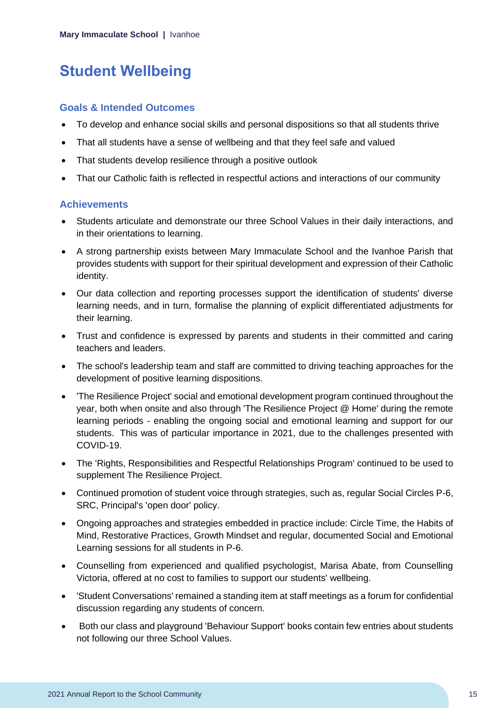# <span id="page-15-0"></span>**Student Wellbeing**

### **Goals & Intended Outcomes**

- To develop and enhance social skills and personal dispositions so that all students thrive
- That all students have a sense of wellbeing and that they feel safe and valued
- That students develop resilience through a positive outlook
- That our Catholic faith is reflected in respectful actions and interactions of our community

## **Achievements**

- Students articulate and demonstrate our three School Values in their daily interactions, and in their orientations to learning.
- A strong partnership exists between Mary Immaculate School and the Ivanhoe Parish that provides students with support for their spiritual development and expression of their Catholic identity.
- Our data collection and reporting processes support the identification of students' diverse learning needs, and in turn, formalise the planning of explicit differentiated adjustments for their learning.
- Trust and confidence is expressed by parents and students in their committed and caring teachers and leaders.
- The school's leadership team and staff are committed to driving teaching approaches for the development of positive learning dispositions.
- 'The Resilience Project' social and emotional development program continued throughout the year, both when onsite and also through 'The Resilience Project @ Home' during the remote learning periods - enabling the ongoing social and emotional learning and support for our students. This was of particular importance in 2021, due to the challenges presented with COVID-19.
- The 'Rights, Responsibilities and Respectful Relationships Program' continued to be used to supplement The Resilience Project.
- Continued promotion of student voice through strategies, such as, regular Social Circles P-6, SRC, Principal's 'open door' policy.
- Ongoing approaches and strategies embedded in practice include: Circle Time, the Habits of Mind, Restorative Practices, Growth Mindset and regular, documented Social and Emotional Learning sessions for all students in P-6.
- Counselling from experienced and qualified psychologist, Marisa Abate, from Counselling Victoria, offered at no cost to families to support our students' wellbeing.
- 'Student Conversations' remained a standing item at staff meetings as a forum for confidential discussion regarding any students of concern.
- Both our class and playground 'Behaviour Support' books contain few entries about students not following our three School Values.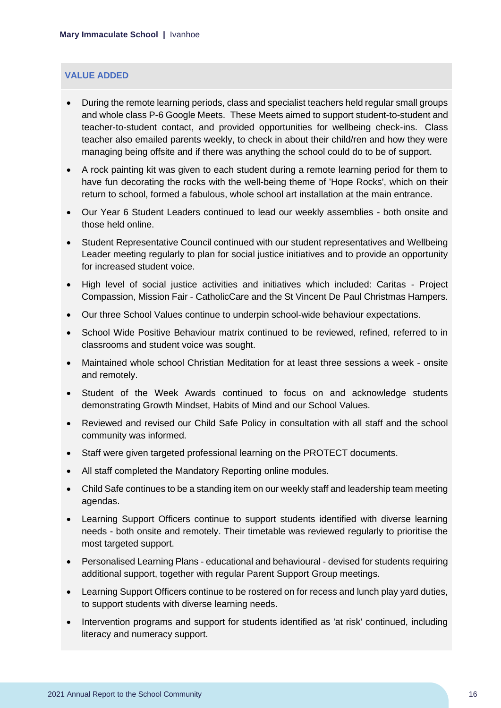### **VALUE ADDED**

- During the remote learning periods, class and specialist teachers held regular small groups and whole class P-6 Google Meets. These Meets aimed to support student-to-student and teacher-to-student contact, and provided opportunities for wellbeing check-ins. Class teacher also emailed parents weekly, to check in about their child/ren and how they were managing being offsite and if there was anything the school could do to be of support.
- A rock painting kit was given to each student during a remote learning period for them to have fun decorating the rocks with the well-being theme of 'Hope Rocks', which on their return to school, formed a fabulous, whole school art installation at the main entrance.
- Our Year 6 Student Leaders continued to lead our weekly assemblies both onsite and those held online.
- Student Representative Council continued with our student representatives and Wellbeing Leader meeting regularly to plan for social justice initiatives and to provide an opportunity for increased student voice.
- High level of social justice activities and initiatives which included: Caritas Project Compassion, Mission Fair - CatholicCare and the St Vincent De Paul Christmas Hampers.
- Our three School Values continue to underpin school-wide behaviour expectations.
- School Wide Positive Behaviour matrix continued to be reviewed, refined, referred to in classrooms and student voice was sought.
- Maintained whole school Christian Meditation for at least three sessions a week onsite and remotely.
- Student of the Week Awards continued to focus on and acknowledge students demonstrating Growth Mindset, Habits of Mind and our School Values.
- Reviewed and revised our Child Safe Policy in consultation with all staff and the school community was informed.
- Staff were given targeted professional learning on the PROTECT documents.
- All staff completed the Mandatory Reporting online modules.
- Child Safe continues to be a standing item on our weekly staff and leadership team meeting agendas.
- Learning Support Officers continue to support students identified with diverse learning needs - both onsite and remotely. Their timetable was reviewed regularly to prioritise the most targeted support.
- Personalised Learning Plans educational and behavioural devised for students requiring additional support, together with regular Parent Support Group meetings.
- Learning Support Officers continue to be rostered on for recess and lunch play yard duties, to support students with diverse learning needs.
- Intervention programs and support for students identified as 'at risk' continued, including literacy and numeracy support.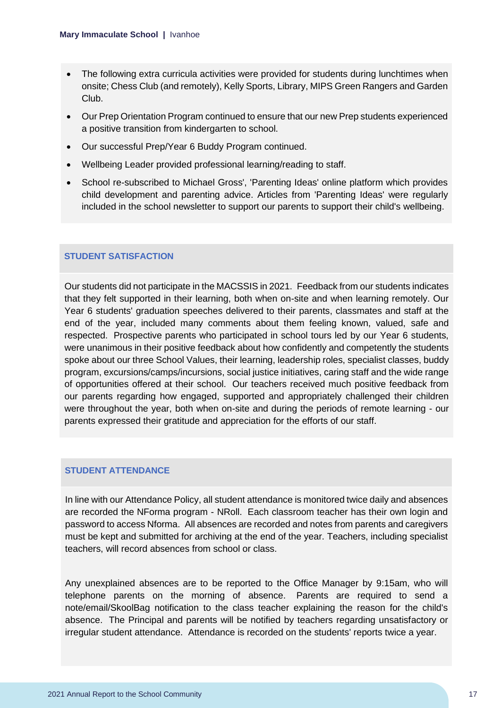- The following extra curricula activities were provided for students during lunchtimes when onsite; Chess Club (and remotely), Kelly Sports, Library, MIPS Green Rangers and Garden Club.
- Our Prep Orientation Program continued to ensure that our new Prep students experienced a positive transition from kindergarten to school.
- Our successful Prep/Year 6 Buddy Program continued.
- Wellbeing Leader provided professional learning/reading to staff.
- School re-subscribed to Michael Gross', 'Parenting Ideas' online platform which provides child development and parenting advice. Articles from 'Parenting Ideas' were regularly included in the school newsletter to support our parents to support their child's wellbeing.

#### **STUDENT SATISFACTION**

Our students did not participate in the MACSSIS in 2021. Feedback from our students indicates that they felt supported in their learning, both when on-site and when learning remotely. Our Year 6 students' graduation speeches delivered to their parents, classmates and staff at the end of the year, included many comments about them feeling known, valued, safe and respected. Prospective parents who participated in school tours led by our Year 6 students, were unanimous in their positive feedback about how confidently and competently the students spoke about our three School Values, their learning, leadership roles, specialist classes, buddy program, excursions/camps/incursions, social justice initiatives, caring staff and the wide range of opportunities offered at their school. Our teachers received much positive feedback from our parents regarding how engaged, supported and appropriately challenged their children were throughout the year, both when on-site and during the periods of remote learning - our parents expressed their gratitude and appreciation for the efforts of our staff.

#### **STUDENT ATTENDANCE**

In line with our Attendance Policy, all student attendance is monitored twice daily and absences are recorded the NForma program - NRoll. Each classroom teacher has their own login and password to access Nforma. All absences are recorded and notes from parents and caregivers must be kept and submitted for archiving at the end of the year. Teachers, including specialist teachers, will record absences from school or class.

Any unexplained absences are to be reported to the Office Manager by 9:15am, who will telephone parents on the morning of absence. Parents are required to send a note/email/SkoolBag notification to the class teacher explaining the reason for the child's absence. The Principal and parents will be notified by teachers regarding unsatisfactory or irregular student attendance. Attendance is recorded on the students' reports twice a year.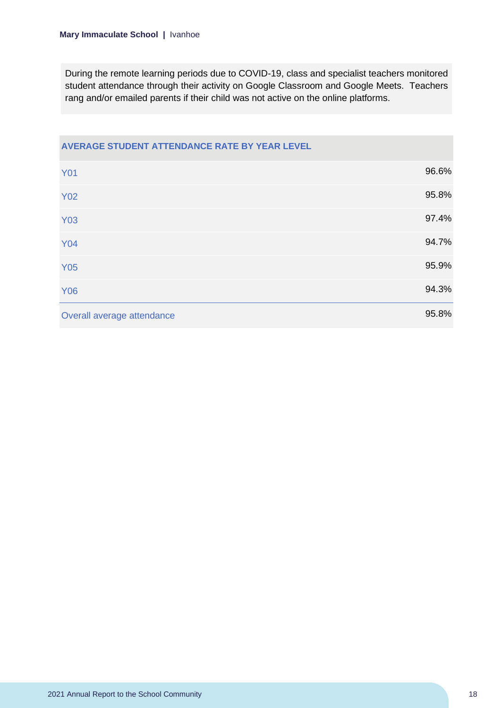During the remote learning periods due to COVID-19, class and specialist teachers monitored student attendance through their activity on Google Classroom and Google Meets. Teachers rang and/or emailed parents if their child was not active on the online platforms.

| AVERAGE STUDENT ATTENDANCE RATE BY YEAR LEVEL |       |
|-----------------------------------------------|-------|
| <b>Y01</b>                                    | 96.6% |
| <b>Y02</b>                                    | 95.8% |
| <b>Y03</b>                                    | 97.4% |
| <b>Y04</b>                                    | 94.7% |
| <b>Y05</b>                                    | 95.9% |
| <b>Y06</b>                                    | 94.3% |
| Overall average attendance                    | 95.8% |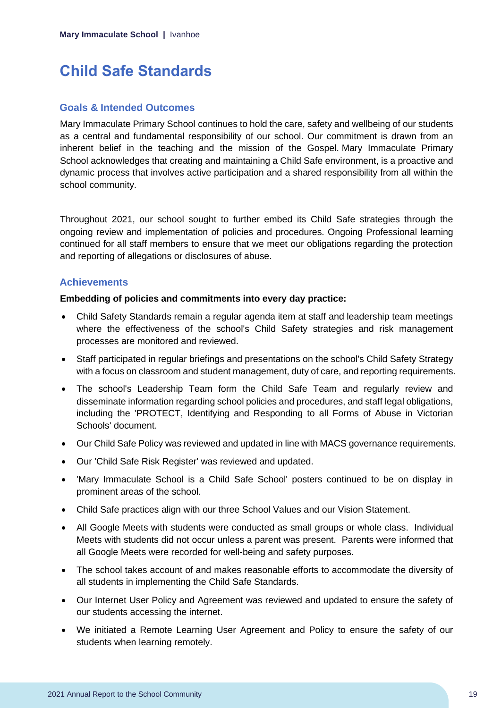# <span id="page-19-0"></span>**Child Safe Standards**

### **Goals & Intended Outcomes**

Mary Immaculate Primary School continues to hold the care, safety and wellbeing of our students as a central and fundamental responsibility of our school. Our commitment is drawn from an inherent belief in the teaching and the mission of the Gospel. Mary Immaculate Primary School acknowledges that creating and maintaining a Child Safe environment, is a proactive and dynamic process that involves active participation and a shared responsibility from all within the school community.

Throughout 2021, our school sought to further embed its Child Safe strategies through the ongoing review and implementation of policies and procedures. Ongoing Professional learning continued for all staff members to ensure that we meet our obligations regarding the protection and reporting of allegations or disclosures of abuse.

## **Achievements**

#### **Embedding of policies and commitments into every day practice:**

- Child Safety Standards remain a regular agenda item at staff and leadership team meetings where the effectiveness of the school's Child Safety strategies and risk management processes are monitored and reviewed.
- Staff participated in regular briefings and presentations on the school's Child Safety Strategy with a focus on classroom and student management, duty of care, and reporting requirements.
- The school's Leadership Team form the Child Safe Team and regularly review and disseminate information regarding school policies and procedures, and staff legal obligations, including the 'PROTECT, Identifying and Responding to all Forms of Abuse in Victorian Schools' document.
- Our Child Safe Policy was reviewed and updated in line with MACS governance requirements.
- Our 'Child Safe Risk Register' was reviewed and updated.
- 'Mary Immaculate School is a Child Safe School' posters continued to be on display in prominent areas of the school.
- Child Safe practices align with our three School Values and our Vision Statement.
- All Google Meets with students were conducted as small groups or whole class. Individual Meets with students did not occur unless a parent was present. Parents were informed that all Google Meets were recorded for well-being and safety purposes.
- The school takes account of and makes reasonable efforts to accommodate the diversity of all students in implementing the Child Safe Standards.
- Our Internet User Policy and Agreement was reviewed and updated to ensure the safety of our students accessing the internet.
- We initiated a Remote Learning User Agreement and Policy to ensure the safety of our students when learning remotely.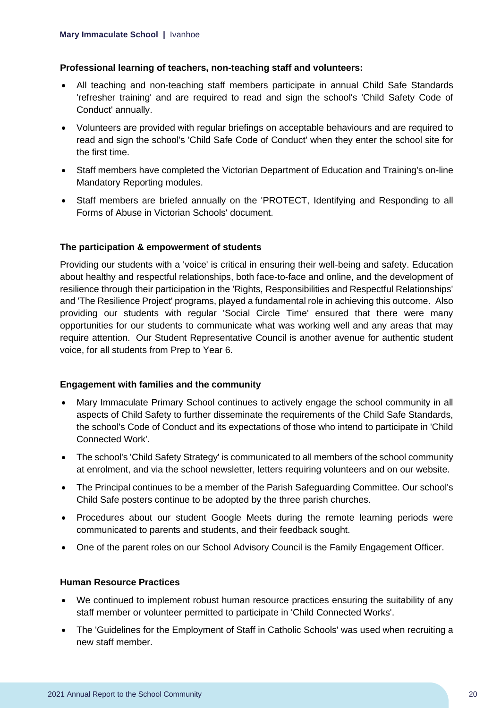#### **Professional learning of teachers, non-teaching staff and volunteers:**

- All teaching and non-teaching staff members participate in annual Child Safe Standards 'refresher training' and are required to read and sign the school's 'Child Safety Code of Conduct' annually.
- Volunteers are provided with regular briefings on acceptable behaviours and are required to read and sign the school's 'Child Safe Code of Conduct' when they enter the school site for the first time.
- Staff members have completed the Victorian Department of Education and Training's on-line Mandatory Reporting modules.
- Staff members are briefed annually on the 'PROTECT, Identifying and Responding to all Forms of Abuse in Victorian Schools' document.

#### **The participation & empowerment of students**

Providing our students with a 'voice' is critical in ensuring their well-being and safety. Education about healthy and respectful relationships, both face-to-face and online, and the development of resilience through their participation in the 'Rights, Responsibilities and Respectful Relationships' and 'The Resilience Project' programs, played a fundamental role in achieving this outcome. Also providing our students with regular 'Social Circle Time' ensured that there were many opportunities for our students to communicate what was working well and any areas that may require attention. Our Student Representative Council is another avenue for authentic student voice, for all students from Prep to Year 6.

#### **Engagement with families and the community**

- Mary Immaculate Primary School continues to actively engage the school community in all aspects of Child Safety to further disseminate the requirements of the Child Safe Standards, the school's Code of Conduct and its expectations of those who intend to participate in 'Child Connected Work'.
- The school's 'Child Safety Strategy' is communicated to all members of the school community at enrolment, and via the school newsletter, letters requiring volunteers and on our website.
- The Principal continues to be a member of the Parish Safeguarding Committee. Our school's Child Safe posters continue to be adopted by the three parish churches.
- Procedures about our student Google Meets during the remote learning periods were communicated to parents and students, and their feedback sought.
- One of the parent roles on our School Advisory Council is the Family Engagement Officer.

#### **Human Resource Practices**

- We continued to implement robust human resource practices ensuring the suitability of any staff member or volunteer permitted to participate in 'Child Connected Works'.
- The 'Guidelines for the Employment of Staff in Catholic Schools' was used when recruiting a new staff member.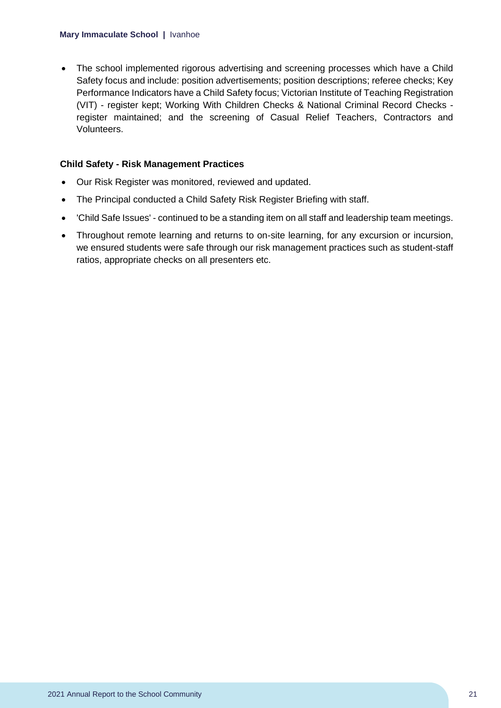• The school implemented rigorous advertising and screening processes which have a Child Safety focus and include: position advertisements; position descriptions; referee checks; Key Performance Indicators have a Child Safety focus; Victorian Institute of Teaching Registration (VIT) - register kept; Working With Children Checks & National Criminal Record Checks register maintained; and the screening of Casual Relief Teachers, Contractors and Volunteers.

### **Child Safety - Risk Management Practices**

- Our Risk Register was monitored, reviewed and updated.
- The Principal conducted a Child Safety Risk Register Briefing with staff.
- 'Child Safe Issues' continued to be a standing item on all staff and leadership team meetings.
- Throughout remote learning and returns to on-site learning, for any excursion or incursion, we ensured students were safe through our risk management practices such as student-staff ratios, appropriate checks on all presenters etc.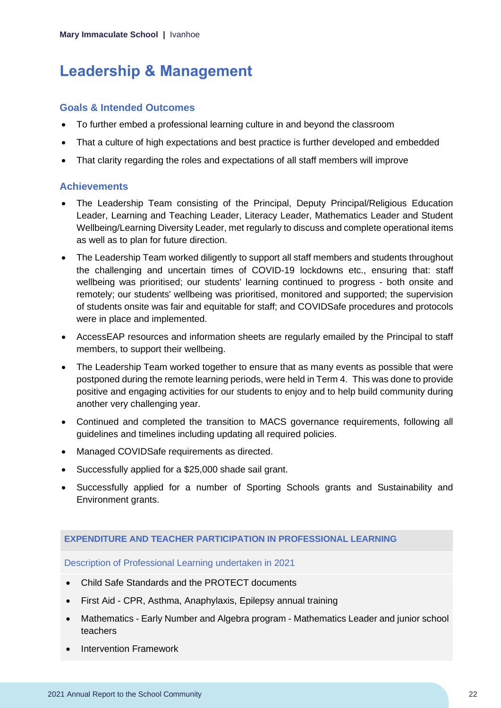# <span id="page-22-0"></span>**Leadership & Management**

## **Goals & Intended Outcomes**

- To further embed a professional learning culture in and beyond the classroom
- That a culture of high expectations and best practice is further developed and embedded
- That clarity regarding the roles and expectations of all staff members will improve

## **Achievements**

- The Leadership Team consisting of the Principal, Deputy Principal/Religious Education Leader, Learning and Teaching Leader, Literacy Leader, Mathematics Leader and Student Wellbeing/Learning Diversity Leader, met regularly to discuss and complete operational items as well as to plan for future direction.
- The Leadership Team worked diligently to support all staff members and students throughout the challenging and uncertain times of COVID-19 lockdowns etc., ensuring that: staff wellbeing was prioritised; our students' learning continued to progress - both onsite and remotely; our students' wellbeing was prioritised, monitored and supported; the supervision of students onsite was fair and equitable for staff; and COVIDSafe procedures and protocols were in place and implemented.
- AccessEAP resources and information sheets are regularly emailed by the Principal to staff members, to support their wellbeing.
- The Leadership Team worked together to ensure that as many events as possible that were postponed during the remote learning periods, were held in Term 4. This was done to provide positive and engaging activities for our students to enjoy and to help build community during another very challenging year.
- Continued and completed the transition to MACS governance requirements, following all guidelines and timelines including updating all required policies.
- Managed COVIDSafe requirements as directed.
- Successfully applied for a \$25,000 shade sail grant.
- Successfully applied for a number of Sporting Schools grants and Sustainability and Environment grants.

### **EXPENDITURE AND TEACHER PARTICIPATION IN PROFESSIONAL LEARNING**

### Description of Professional Learning undertaken in 2021

- Child Safe Standards and the PROTECT documents
- First Aid CPR, Asthma, Anaphylaxis, Epilepsy annual training
- Mathematics Early Number and Algebra program Mathematics Leader and junior school teachers
- Intervention Framework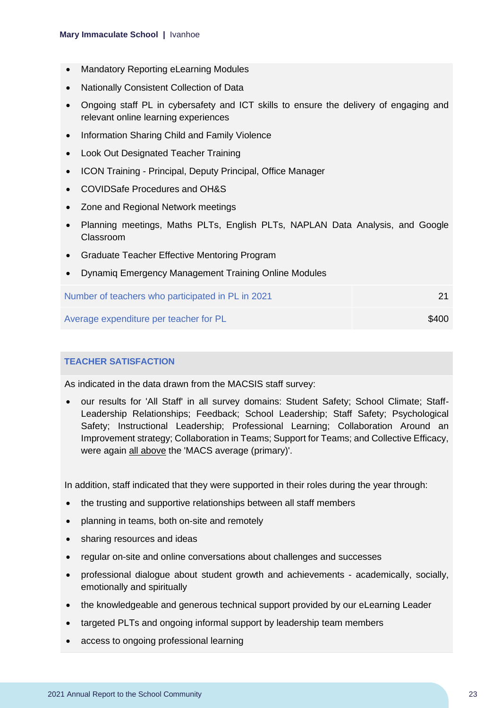- Mandatory Reporting eLearning Modules
- Nationally Consistent Collection of Data
- Ongoing staff PL in cybersafety and ICT skills to ensure the delivery of engaging and relevant online learning experiences
- Information Sharing Child and Family Violence
- Look Out Designated Teacher Training
- ICON Training Principal, Deputy Principal, Office Manager
- COVIDSafe Procedures and OH&S
- Zone and Regional Network meetings
- Planning meetings, Maths PLTs, English PLTs, NAPLAN Data Analysis, and Google Classroom
- Graduate Teacher Effective Mentoring Program
- Dynamiq Emergency Management Training Online Modules

| Number of teachers who participated in PL in 2021 |       |
|---------------------------------------------------|-------|
| Average expenditure per teacher for PL            | \$400 |

### **TEACHER SATISFACTION**

As indicated in the data drawn from the MACSIS staff survey:

• our results for 'All Staff' in all survey domains: Student Safety; School Climate; Staff-Leadership Relationships; Feedback; School Leadership; Staff Safety; Psychological Safety; Instructional Leadership; Professional Learning; Collaboration Around an Improvement strategy; Collaboration in Teams; Support for Teams; and Collective Efficacy, were again all above the 'MACS average (primary)'.

In addition, staff indicated that they were supported in their roles during the year through:

- the trusting and supportive relationships between all staff members
- planning in teams, both on-site and remotely
- sharing resources and ideas
- regular on-site and online conversations about challenges and successes
- professional dialogue about student growth and achievements academically, socially, emotionally and spiritually
- the knowledgeable and generous technical support provided by our eLearning Leader
- targeted PLTs and ongoing informal support by leadership team members
- access to ongoing professional learning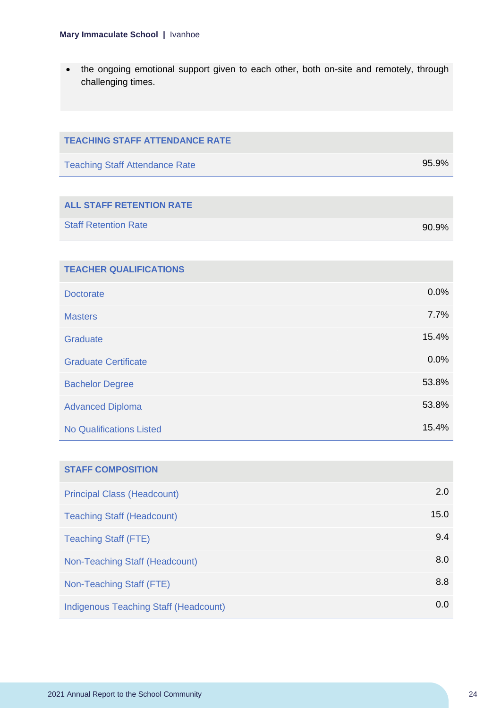• the ongoing emotional support given to each other, both on-site and remotely, through challenging times.

| <b>TEACHING STAFF ATTENDANCE RATE</b>        |       |
|----------------------------------------------|-------|
| <b>Teaching Staff Attendance Rate</b>        | 95.9% |
|                                              |       |
| <b>ALL STAFF RETENTION RATE</b>              |       |
| <b>Staff Retention Rate</b>                  | 90.9% |
|                                              |       |
| <b>TEACHER QUALIFICATIONS</b>                |       |
| <b>Doctorate</b>                             | 0.0%  |
| <b>Masters</b>                               | 7.7%  |
| Graduate                                     | 15.4% |
| <b>Graduate Certificate</b>                  | 0.0%  |
| <b>Bachelor Degree</b>                       | 53.8% |
| <b>Advanced Diploma</b>                      | 53.8% |
| <b>No Qualifications Listed</b>              | 15.4% |
|                                              |       |
| <b>STAFF COMPOSITION</b>                     |       |
| <b>Principal Class (Headcount)</b>           | 2.0   |
| <b>Teaching Staff (Headcount)</b>            | 15.0  |
| <b>Teaching Staff (FTE)</b>                  | 9.4   |
| Non-Teaching Staff (Headcount)               | 8.0   |
| Non-Teaching Staff (FTE)                     | 8.8   |
| <b>Indigenous Teaching Staff (Headcount)</b> | 0.0   |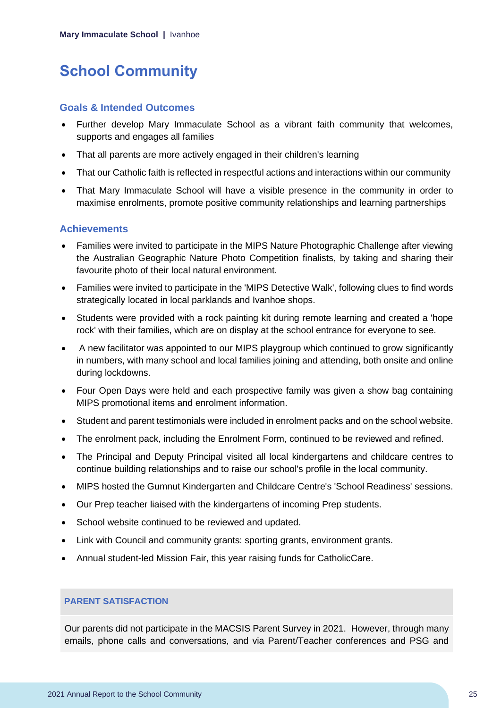# <span id="page-25-0"></span>**School Community**

### **Goals & Intended Outcomes**

- Further develop Mary Immaculate School as a vibrant faith community that welcomes, supports and engages all families
- That all parents are more actively engaged in their children's learning
- That our Catholic faith is reflected in respectful actions and interactions within our community
- That Mary Immaculate School will have a visible presence in the community in order to maximise enrolments, promote positive community relationships and learning partnerships

## **Achievements**

- Families were invited to participate in the MIPS Nature Photographic Challenge after viewing the Australian Geographic Nature Photo Competition finalists, by taking and sharing their favourite photo of their local natural environment.
- Families were invited to participate in the 'MIPS Detective Walk', following clues to find words strategically located in local parklands and Ivanhoe shops.
- Students were provided with a rock painting kit during remote learning and created a 'hope rock' with their families, which are on display at the school entrance for everyone to see.
- A new facilitator was appointed to our MIPS playgroup which continued to grow significantly in numbers, with many school and local families joining and attending, both onsite and online during lockdowns.
- Four Open Days were held and each prospective family was given a show bag containing MIPS promotional items and enrolment information.
- Student and parent testimonials were included in enrolment packs and on the school website.
- The enrolment pack, including the Enrolment Form, continued to be reviewed and refined.
- The Principal and Deputy Principal visited all local kindergartens and childcare centres to continue building relationships and to raise our school's profile in the local community.
- MIPS hosted the Gumnut Kindergarten and Childcare Centre's 'School Readiness' sessions.
- Our Prep teacher liaised with the kindergartens of incoming Prep students.
- School website continued to be reviewed and updated.
- Link with Council and community grants: sporting grants, environment grants.
- Annual student-led Mission Fair, this year raising funds for CatholicCare.

#### **PARENT SATISFACTION**

Our parents did not participate in the MACSIS Parent Survey in 2021. However, through many emails, phone calls and conversations, and via Parent/Teacher conferences and PSG and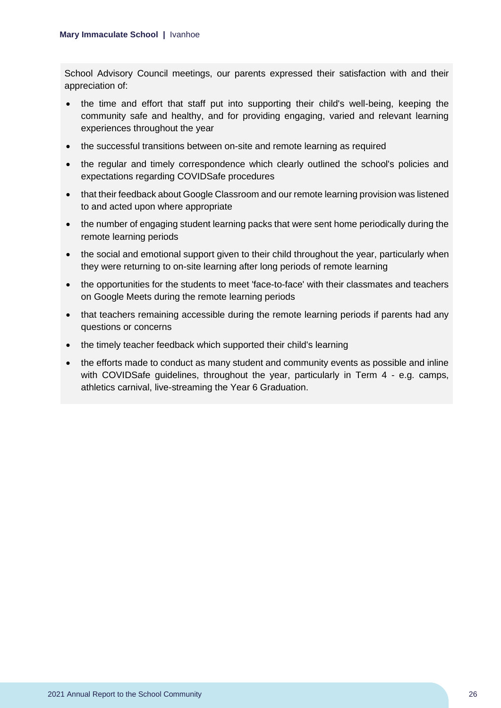School Advisory Council meetings, our parents expressed their satisfaction with and their appreciation of:

- the time and effort that staff put into supporting their child's well-being, keeping the community safe and healthy, and for providing engaging, varied and relevant learning experiences throughout the year
- the successful transitions between on-site and remote learning as required
- the regular and timely correspondence which clearly outlined the school's policies and expectations regarding COVIDSafe procedures
- that their feedback about Google Classroom and our remote learning provision was listened to and acted upon where appropriate
- the number of engaging student learning packs that were sent home periodically during the remote learning periods
- the social and emotional support given to their child throughout the year, particularly when they were returning to on-site learning after long periods of remote learning
- the opportunities for the students to meet 'face-to-face' with their classmates and teachers on Google Meets during the remote learning periods
- that teachers remaining accessible during the remote learning periods if parents had any questions or concerns
- the timely teacher feedback which supported their child's learning
- the efforts made to conduct as many student and community events as possible and inline with COVIDSafe guidelines, throughout the year, particularly in Term 4 - e.g. camps, athletics carnival, live-streaming the Year 6 Graduation.